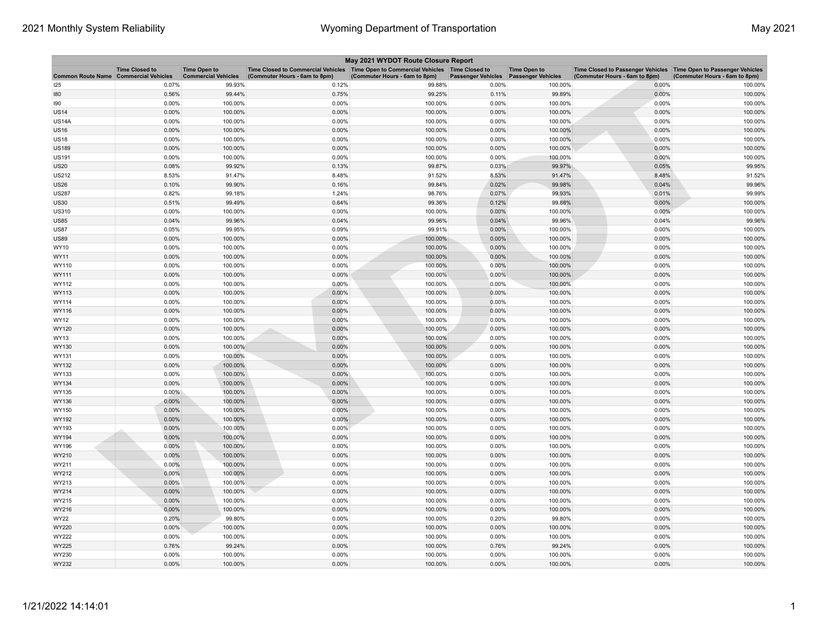|                                              |                       |                                                   |                                                                                                                         | May 2021 WYDOT Route Closure Report |                           |                                                  |                                                                                                    |                               |
|----------------------------------------------|-----------------------|---------------------------------------------------|-------------------------------------------------------------------------------------------------------------------------|-------------------------------------|---------------------------|--------------------------------------------------|----------------------------------------------------------------------------------------------------|-------------------------------|
| <b>Common Route Name Commercial Vehicles</b> | <b>Time Closed to</b> | <b>Time Open to</b><br><b>Commercial Vehicles</b> | Time Closed to Commercial Vehicles   Time Open to Commercial Vehicles   Time Closed to<br>(Commuter Hours - 6am to 8pm) | (Commuter Hours - 6am to 8pm)       | <b>Passenger Vehicles</b> | <b>Time Open to</b><br><b>Passenger Vehicles</b> | Time Closed to Passenger Vehicles Time Open to Passenger Vehicles<br>(Commuter Hours - 6am to 8pm) | (Commuter Hours - 6am to 8pm) |
| 125                                          | 0.07%                 | 99.93%                                            | 0.12%                                                                                                                   | 99.88%                              | 0.00%                     | 100.00%                                          | 0.00%                                                                                              | 100.00%                       |
| 180                                          | 0.56%                 | 99.44%                                            | 0.75%                                                                                                                   | 99.25%                              | 0.11%                     | 99.89%                                           | 0.00%                                                                                              | 100.00%                       |
| 190                                          | 0.00%                 | 100.00%                                           | 0.00%                                                                                                                   | 100.00%                             | 0.00%                     | 100.00%                                          | 0.00%                                                                                              | 100.00%                       |
| US14                                         | 0.00%                 | 100.00%                                           | 0.00%                                                                                                                   | 100.00%                             | 0.00%                     | 100.00%                                          | 0.00%                                                                                              | 100.00%                       |
| <b>US14A</b>                                 | 0.00%                 | 100.00%                                           | 0.00%                                                                                                                   | 100.00%                             | 0.00%                     | 100.00%                                          | 0.00%                                                                                              | 100.00%                       |
| <b>US16</b>                                  | 0.00%                 | 100.00%                                           | 0.00%                                                                                                                   | 100.00%                             | 0.00%                     | 100.00%                                          | 0.00%                                                                                              | 100.00%                       |
| US18                                         | 0.00%                 | 100.00%                                           | 0.00%                                                                                                                   | 100.00%                             | 0.00%                     | 100.00%                                          | 0.00%                                                                                              | 100.00%                       |
| <b>US189</b>                                 | 0.00%                 | 100.00%                                           | 0.00%                                                                                                                   | 100.00%                             | 0.00%                     | 100.00%                                          | 0.00%                                                                                              | 100.00%                       |
| <b>US191</b>                                 | 0.00%                 | 100.00%                                           | 0.00%                                                                                                                   | 100.00%                             | 0.00%                     | 100.00%                                          | 0.00%                                                                                              | 100.00%                       |
| <b>US20</b>                                  | 0.08%                 | 99.92%                                            | 0.13%                                                                                                                   | 99.87%                              | 0.03%                     | 99.97%                                           | 0.05%                                                                                              | 99.95%                        |
| <b>US212</b>                                 | 8.53%                 | 91.47%                                            | 8.48%                                                                                                                   | 91.52%                              | 8.53%                     | 91.47%                                           | 8.48%                                                                                              | 91.52%                        |
| <b>US26</b>                                  | 0.10%                 | 99.90%                                            | 0.16%                                                                                                                   | 99.84%                              | 0.02%                     | 99.98%                                           | 0.04%                                                                                              | 99.96%                        |
| <b>US287</b>                                 | 0.82%                 | 99.18%                                            | 1.24%                                                                                                                   | 98.76%                              | 0.07%                     | 99.93%                                           | 0.01%                                                                                              | 99.99%                        |
| <b>US30</b>                                  | 0.51%                 | 99.49%                                            | 0.64%                                                                                                                   | 99.36%                              | 0.12%                     | 99.88%                                           | 0.00%                                                                                              | 100.00%                       |
| <b>US310</b>                                 | 0.00%                 | 100.00%                                           | 0.00%                                                                                                                   | 100.00%                             | 0.00%                     | 100.00%                                          | 0.00%                                                                                              | 100.00%                       |
| <b>US85</b>                                  | 0.04%                 | 99.96%                                            | 0.04%                                                                                                                   | 99.96%                              | 0.04%                     | 99.96%                                           | 0.04%                                                                                              | 99.96%                        |
| <b>US87</b>                                  | 0.05%                 | 99.95%                                            | 0.09%                                                                                                                   | 99.91%                              | 0.00%                     | 100.00%                                          | 0.00%                                                                                              | 100.00%                       |
| <b>US89</b>                                  | 0.00%                 | 100.00%                                           | 0.00%                                                                                                                   | 100.00%                             | 0.00%                     | 100.00%                                          | 0.00%                                                                                              | 100.00%                       |
| WY10                                         | 0.00%                 | 100.00%                                           | 0.00%                                                                                                                   | 100.00%                             | 0.00%                     | 100.00%                                          | 0.00%                                                                                              | 100.00%                       |
| WY11                                         | 0.00%                 | 100.00%                                           | 0.00%                                                                                                                   | 100.00%                             | 0.00%                     | 100.00%                                          | 0.00%                                                                                              | 100.00%                       |
| WY110                                        | 0.00%                 | 100.00%                                           | 0.00%                                                                                                                   | 100.00%                             | 0.00%                     | 100.00%                                          | 0.00%                                                                                              | 100.00%                       |
| WY111                                        | 0.00%                 | 100.00%                                           | 0.00%                                                                                                                   | 100.00%                             | 0.00%                     | 100.00%                                          | 0.00%                                                                                              | 100.00%                       |
| WY112                                        | 0.00%                 | 100.00%                                           | 0.00%                                                                                                                   | 100.00%                             | 0.00%                     | 100.00%                                          | 0.00%                                                                                              | 100.00%                       |
| WY113                                        | 0.00%                 | 100.00%                                           | 0.00%                                                                                                                   | 100.00%                             | 0.00%                     | 100.00%                                          | 0.00%                                                                                              | 100.00%                       |
| WY114                                        | 0.00%                 | 100.00%                                           | 0.00%                                                                                                                   | 100.00%                             | 0.00%                     | 100.00%                                          | 0.00%                                                                                              | 100.00%                       |
| WY116                                        | 0.00%                 | 100.00%                                           | 0.00%                                                                                                                   | 100.00%                             | 0.00%                     | 100.00%                                          | 0.00%                                                                                              | 100.00%                       |
| WY12                                         | 0.00%                 | 100.00%                                           | 0.00%                                                                                                                   | 100.00%                             | 0.00%                     | 100.00%                                          | 0.00%                                                                                              | 100.00%                       |
| WY120                                        | 0.00%                 | 100.00%                                           | 0.00%                                                                                                                   | 100.00%                             | 0.00%                     | 100.00%                                          | 0.00%                                                                                              | 100.00%                       |
| WY13                                         | 0.00%                 | 100.00%                                           | 0.00%                                                                                                                   | 100.00%                             | 0.00%                     | 100.00%                                          | 0.00%                                                                                              | 100.00%                       |
| WY130                                        | 0.00%                 | 100.00%                                           | 0.00%                                                                                                                   | 100.00%                             | 0.00%                     | 100.00%                                          | 0.00%                                                                                              | 100.00%                       |
| WY131                                        | 0.00%                 | 100.00%                                           | 0.00%                                                                                                                   | 100.00%                             | 0.00%                     | 100.00%                                          | 0.00%                                                                                              | 100.00%                       |
| WY132                                        | 0.00%                 | 100.00%                                           | 0.00%                                                                                                                   | 100.00%                             | 0.00%                     | 100.00%                                          | 0.00%                                                                                              | 100.00%                       |
| WY133                                        | 0.00%                 | 100.00%                                           | 0.00%                                                                                                                   | 100.00%                             | 0.00%                     | 100.00%                                          | 0.00%                                                                                              | 100.00%                       |
| WY134                                        | 0.00%                 | 100.00%                                           | 0.00%                                                                                                                   | 100.00%                             | 0.00%                     | 100.00%                                          | 0.00%                                                                                              | 100.00%                       |
| WY135                                        | 0.00%                 | 100.00%                                           | 0.00%                                                                                                                   | 100.00%                             | 0.00%                     | 100.00%                                          | 0.00%                                                                                              | 100.00%                       |
| WY136                                        | 0.00%                 | 100.00%                                           | 0.00%                                                                                                                   | 100.00%                             | 0.00%                     | 100.00%                                          | 0.00%                                                                                              | 100.00%                       |
| WY150                                        | 0.00%                 | 100.00%                                           | 0.00%                                                                                                                   | 100.00%                             | 0.00%                     | 100.00%                                          | 0.00%                                                                                              | 100.00%                       |
| WY192                                        | 0.00%                 | 100.00%                                           | 0.00%                                                                                                                   | 100.00%                             | 0.00%                     | 100.00%                                          | 0.00%                                                                                              | 100.00%                       |
| WY193<br>WY194                               | 0.00%                 | 100.00%                                           | 0.00%                                                                                                                   | 100.00%                             | 0.00%                     | 100.00%                                          | 0.00%                                                                                              | 100.00%                       |
|                                              | 0.00%                 | 100.00%                                           | 0.00%                                                                                                                   | 100.00%                             | 0.00%                     | 100.00%                                          | 0.00%                                                                                              | 100.00%                       |
| WY196                                        | 0.00%                 | 100.00%                                           | 0.00%                                                                                                                   | 100.00%                             | 0.00%                     | 100.00%                                          | 0.00%                                                                                              | 100.00%                       |
| WY210                                        | 0.00%<br>0.00%        | 100.00%                                           | 0.00%                                                                                                                   | 100.00%<br>100.00%                  | 0.00%<br>0.00%            | 100.00%<br>100.00%                               | 0.00%<br>0.00%                                                                                     | 100.00%                       |
| WY211                                        | 0.00%                 | 100.00%<br>100.00%                                | 0.00%<br>0.00%                                                                                                          | 100.00%                             | 0.00%                     | 100.00%                                          | 0.00%                                                                                              | 100.00%<br>100.00%            |
| WY212                                        |                       |                                                   |                                                                                                                         |                                     |                           |                                                  |                                                                                                    |                               |
| WY213                                        | 0.00%                 | 100.00%                                           | 0.00%                                                                                                                   | 100.00%                             | 0.00%                     | 100.00%                                          | 0.00%                                                                                              | 100.00%                       |
| WY214<br>WY215                               | 0.00%<br>0.00%        | 100.00%<br>100.00%                                | 0.00%<br>0.00%                                                                                                          | 100.00%<br>100.00%                  | 0.00%<br>0.00%            | 100.00%<br>100.00%                               | 0.00%<br>0.00%                                                                                     | 100.00%                       |
| WY216                                        | 0.00%                 | 100.00%                                           | 0.00%                                                                                                                   | 100.00%                             | 0.00%                     | 100.00%                                          | 0.00%                                                                                              | 100.00%<br>100.00%            |
|                                              | 0.20%                 | 99.80%                                            | 0.00%                                                                                                                   |                                     | 0.20%                     | 99.80%                                           | 0.00%                                                                                              | 100.00%                       |
| WY22<br>WY220                                | 0.00%                 | 100.00%                                           | 0.00%                                                                                                                   | 100.00%<br>100.00%                  | 0.00%                     | 100.00%                                          | 0.00%                                                                                              | 100.00%                       |
| WY222                                        | 0.00%                 | 100.00%                                           | 0.00%                                                                                                                   | 100.00%                             | 0.00%                     | 100.00%                                          | 0.00%                                                                                              | 100.00%                       |
| WY225                                        | 0.76%                 | 99.24%                                            | 0.00%                                                                                                                   | 100.00%                             | 0.76%                     | 99.24%                                           | 0.00%                                                                                              | 100.00%                       |
| WY230                                        | 0.00%                 | 100.00%                                           | 0.00%                                                                                                                   | 100.00%                             | 0.00%                     | 100.00%                                          | 0.00%                                                                                              | 100.00%                       |
| WY232                                        | 0.00%                 | 100.00%                                           | 0.00%                                                                                                                   | 100.00%                             | 0.00%                     | 100.00%                                          | 0.00%                                                                                              | 100.00%                       |
|                                              |                       |                                                   |                                                                                                                         |                                     |                           |                                                  |                                                                                                    |                               |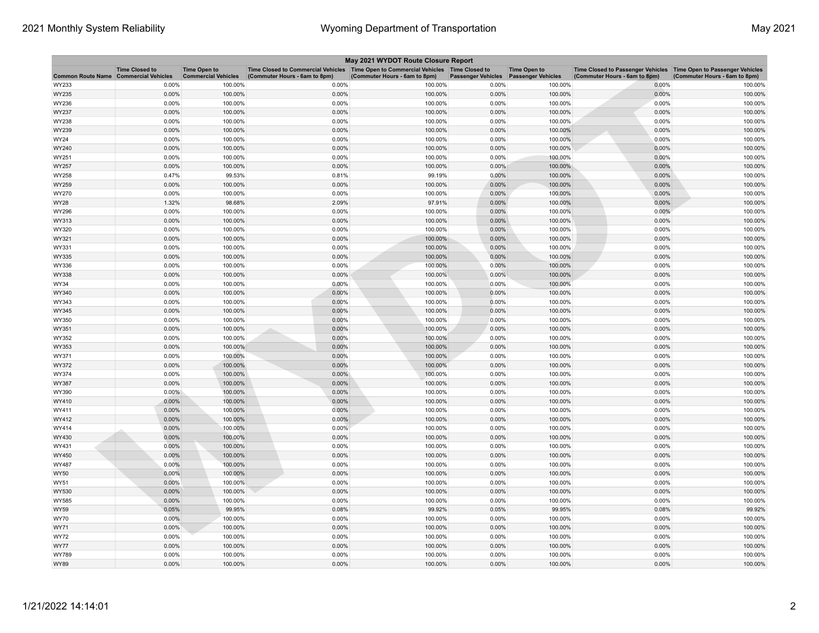|                                              |                       |                                                   |                                                                                                                       | May 2021 WYDOT Route Closure Report |                           |                                                  |                                                                                                    |                               |
|----------------------------------------------|-----------------------|---------------------------------------------------|-----------------------------------------------------------------------------------------------------------------------|-------------------------------------|---------------------------|--------------------------------------------------|----------------------------------------------------------------------------------------------------|-------------------------------|
| <b>Common Route Name Commercial Vehicles</b> | <b>Time Closed to</b> | <b>Time Open to</b><br><b>Commercial Vehicles</b> | Time Closed to Commercial Vehicles  Time Open to Commercial Vehicles  Time Closed to<br>(Commuter Hours - 6am to 8pm) | (Commuter Hours - 6am to 8pm)       | <b>Passenger Vehicles</b> | <b>Time Open to</b><br><b>Passenger Vehicles</b> | Time Closed to Passenger Vehicles Time Open to Passenger Vehicles<br>(Commuter Hours - 6am to 8pm) | (Commuter Hours - 6am to 8pm) |
| WY233                                        | 0.00%                 | 100.00%                                           | 0.00%                                                                                                                 | 100.00%                             | 0.00%                     | 100.00%                                          | 0.00%                                                                                              | 100.00%                       |
| WY235                                        | 0.00%                 | 100.00%                                           | 0.00%                                                                                                                 | 100.00%                             | 0.00%                     | 100.00%                                          | 0.00%                                                                                              | 100.00%                       |
| WY236                                        | 0.00%                 | 100.00%                                           | 0.00%                                                                                                                 | 100.00%                             | 0.00%                     | 100.00%                                          | 0.00%                                                                                              | 100.00%                       |
| WY237                                        | 0.00%                 | 100.00%                                           | 0.00%                                                                                                                 | 100.00%                             | 0.00%                     | 100.00%                                          | 0.00%                                                                                              | 100.00%                       |
| WY238                                        | 0.00%                 | 100.00%                                           | 0.00%                                                                                                                 | 100.00%                             | 0.00%                     | 100.00%                                          | 0.00%                                                                                              | 100.00%                       |
| WY239                                        | 0.00%                 | 100.00%                                           | 0.00%                                                                                                                 | 100.00%                             | 0.00%                     | 100.00%                                          | 0.00%                                                                                              | 100.00%                       |
| WY24                                         | 0.00%                 | 100.00%                                           | 0.00%                                                                                                                 | 100.00%                             | 0.00%                     | 100.00%                                          | 0.00%                                                                                              | 100.00%                       |
| WY240                                        | 0.00%                 | 100.00%                                           | 0.00%                                                                                                                 | 100.00%                             | 0.00%                     | 100.00%                                          | 0.00%                                                                                              | 100.00%                       |
| WY251                                        | 0.00%                 | 100.00%                                           | 0.00%                                                                                                                 | 100.00%                             | 0.00%                     | 100.00%                                          | 0.00%                                                                                              | 100.00%                       |
| WY257                                        | 0.00%                 | 100.00%                                           | 0.00%                                                                                                                 | 100.00%                             | 0.00%                     | 100.00%                                          | 0.00%                                                                                              | 100.00%                       |
| WY258                                        | 0.47%                 | 99.53%                                            | 0.81%                                                                                                                 | 99.19%                              | 0.00%                     | 100.00%                                          | 0.00%                                                                                              | 100.00%                       |
| WY259                                        | 0.00%                 | 100.00%                                           | 0.00%                                                                                                                 | 100.00%                             | 0.00%                     | 100.00%                                          | 0.00%                                                                                              | 100.00%                       |
| WY270                                        | 0.00%                 | 100.00%                                           | 0.00%                                                                                                                 | 100.00%                             | 0.00%                     | 100.00%                                          | 0.00%                                                                                              | 100.00%                       |
| WY28                                         | 1.32%                 | 98.68%                                            | 2.09%                                                                                                                 | 97.91%                              | 0.00%                     | 100.00%                                          | 0.00%                                                                                              | 100.00%                       |
| WY296                                        | 0.00%                 | 100.00%                                           | 0.00%                                                                                                                 | 100.00%                             | 0.00%                     | 100.00%                                          | 0.00%                                                                                              | 100.00%                       |
| WY313                                        | 0.00%                 | 100.00%                                           | 0.00%                                                                                                                 | 100.00%                             | 0.00%                     | 100.00%                                          | 0.00%                                                                                              | 100.00%                       |
| WY320                                        | 0.00%                 | 100.00%                                           | 0.00%                                                                                                                 | 100.00%                             | 0.00%                     | 100.00%                                          | 0.00%                                                                                              | 100.00%                       |
| WY321                                        | 0.00%                 | 100.00%                                           | 0.00%                                                                                                                 | 100.00%                             | 0.00%                     | 100.00%                                          | 0.00%                                                                                              | 100.00%                       |
| WY331                                        | 0.00%                 | 100.00%                                           | 0.00%                                                                                                                 | 100.00%                             | 0.00%                     | 100.00%                                          | 0.00%                                                                                              | 100.00%                       |
| WY335                                        | 0.00%                 | 100.00%                                           | 0.00%                                                                                                                 | 100.00%                             | 0.00%                     | 100.00%                                          | 0.00%                                                                                              | 100.00%                       |
| WY336                                        | 0.00%                 | 100.00%                                           | 0.00%                                                                                                                 | 100.00%                             | 0.00%                     | 100.00%                                          | 0.00%                                                                                              | 100.00%                       |
| WY338                                        | 0.00%                 | 100.00%                                           | 0.00%                                                                                                                 | 100.00%                             | 0.00%                     | 100.00%                                          | 0.00%                                                                                              | 100.00%                       |
| WY34                                         | 0.00%                 | 100.00%                                           | 0.00%                                                                                                                 | 100.00%                             | 0.00%                     | 100.00%                                          | 0.00%                                                                                              | 100.00%                       |
| WY340                                        | 0.00%                 | 100.00%                                           | 0.00%                                                                                                                 | 100.00%                             | 0.00%                     | 100.00%                                          | 0.00%                                                                                              | 100.00%                       |
| WY343                                        | 0.00%                 | 100.00%                                           | 0.00%                                                                                                                 | 100.00%                             | 0.00%                     | 100.00%                                          | 0.00%                                                                                              | 100.00%                       |
| WY345                                        | 0.00%                 | 100.00%                                           | 0.00%                                                                                                                 | 100.00%                             | 0.00%                     | 100.00%                                          | 0.00%                                                                                              | 100.00%                       |
| WY350                                        | 0.00%                 | 100.00%                                           | 0.00%                                                                                                                 | 100.00%                             | 0.00%                     | 100.00%                                          | 0.00%                                                                                              | 100.00%                       |
| WY351                                        | $0.00\%$              | 100.00%                                           | 0.00%                                                                                                                 | 100.00%                             | 0.00%                     | 100.00%                                          | 0.00%                                                                                              | 100.00%                       |
| WY352                                        | 0.00%                 | 100.00%                                           | 0.00%                                                                                                                 | 100.00%                             | 0.00%                     | 100.00%                                          | 0.00%                                                                                              | 100.00%                       |
| WY353                                        | 0.00%                 | 100.00%                                           | 0.00%                                                                                                                 | 100.00%                             | 0.00%                     | 100.00%                                          | 0.00%                                                                                              | 100.00%                       |
| WY371                                        | 0.00%                 | 100.00%                                           | 0.00%                                                                                                                 | 100.00%                             | 0.00%                     | 100.00%                                          | 0.00%                                                                                              | 100.00%                       |
| WY372                                        | 0.00%                 | 100.00%                                           | 0.00%                                                                                                                 | 100.00%                             | 0.00%                     | 100.00%                                          | 0.00%                                                                                              | 100.00%                       |
| WY374                                        | 0.00%                 | 100.00%                                           | 0.00%                                                                                                                 | 100.00%                             | 0.00%                     | 100.00%                                          | 0.00%                                                                                              | 100.00%                       |
| WY387                                        | 0.00%                 | 100.00%                                           | 0.00%                                                                                                                 | 100.00%                             | 0.00%                     | 100.00%                                          | 0.00%                                                                                              | 100.00%                       |
| WY390                                        | 0.00%                 | 100.00%                                           | 0.00%                                                                                                                 | 100.00%                             | 0.00%                     | 100.00%                                          | 0.00%                                                                                              | 100.00%                       |
| WY410                                        | 0.00%                 | 100.00%                                           | 0.00%                                                                                                                 | 100.00%                             | 0.00%                     | 100.00%                                          | 0.00%                                                                                              | 100.00%                       |
| WY411                                        | 0.00%                 | 100.00%                                           | 0.00%                                                                                                                 | 100.00%                             | 0.00%                     | 100.00%                                          | 0.00%                                                                                              | 100.00%                       |
| WY412                                        | 0.00%                 | 100.00%                                           | 0.00%                                                                                                                 | 100.00%                             | 0.00%                     | 100.00%                                          | 0.00%                                                                                              | 100.00%                       |
| WY414                                        | 0.00%                 | 100.00%                                           | 0.00%                                                                                                                 | 100.00%                             | 0.00%                     | 100.00%                                          | 0.00%                                                                                              | 100.00%                       |
| WY430                                        | 0.00%                 | 100.00%                                           | 0.00%                                                                                                                 | 100.00%                             | 0.00%                     | 100.00%                                          | 0.00%                                                                                              | 100.00%                       |
| WY431                                        | 0.00%                 | 100.00%                                           | 0.00%                                                                                                                 | 100.00%                             | 0.00%                     | 100.00%                                          | 0.00%                                                                                              | 100.00%                       |
| WY450                                        | 0.00%                 | 100.00%                                           | 0.00%                                                                                                                 | 100.00%                             | 0.00%                     | 100.00%                                          | 0.00%                                                                                              | 100.00%                       |
| WY487                                        | 0.00%                 | 100.00%                                           | 0.00%                                                                                                                 | 100.00%                             | 0.00%                     | 100.00%                                          | 0.00%                                                                                              | 100.00%                       |
| WY50                                         | 0.00%                 | 100.00%                                           | 0.00%                                                                                                                 | 100.00%                             | 0.00%                     | 100.00%                                          | 0.00%                                                                                              | 100.00%                       |
| WY51                                         | 0.00%                 | 100.00%                                           | 0.00%                                                                                                                 | 100.00%                             | 0.00%                     | 100.00%                                          | 0.00%                                                                                              | 100.00%                       |
| WY530                                        | 0.00%                 | 100.00%                                           | 0.00%                                                                                                                 | 100.00%                             | 0.00%                     | 100.00%                                          | 0.00%                                                                                              | 100.00%                       |
| WY585                                        | 0.00%                 | 100.00%                                           | 0.00%                                                                                                                 | 100.00%                             | 0.00%                     | 100.00%                                          | 0.00%                                                                                              | 100.00%                       |
| WY59                                         | 0.05%                 | 99.95%                                            | 0.08%                                                                                                                 | 99.92%                              | 0.05%                     | 99.95%                                           | 0.08%                                                                                              | 99.92%                        |
| WY70                                         | 0.00%                 | 100.00%                                           | 0.00%                                                                                                                 | 100.00%                             | 0.00%                     | 100.00%                                          | 0.00%                                                                                              | 100.00%                       |
| WY71                                         | 0.00%                 | 100.00%                                           | 0.00%                                                                                                                 | 100.00%                             | 0.00%                     | 100.00%                                          | 0.00%                                                                                              | 100.00%                       |
| WY72                                         | 0.00%                 | 100.00%                                           | 0.00%                                                                                                                 | 100.00%                             | 0.00%                     | 100.00%                                          | 0.00%                                                                                              | 100.00%                       |
| WY77                                         | 0.00%                 | 100.00%                                           | 0.00%                                                                                                                 | 100.00%                             | 0.00%                     | 100.00%                                          | 0.00%                                                                                              | 100.00%                       |
| WY789                                        | 0.00%                 | 100.00%                                           | 0.00%                                                                                                                 | 100.00%                             | 0.00%                     | 100.00%                                          | 0.00%                                                                                              | 100.00%                       |
| WY89                                         | 0.00%                 | 100.00%                                           | 0.00%                                                                                                                 | 100.00%                             | 0.00%                     | 100.00%                                          | 0.00%                                                                                              | 100.00%                       |
|                                              |                       |                                                   |                                                                                                                       |                                     |                           |                                                  |                                                                                                    |                               |